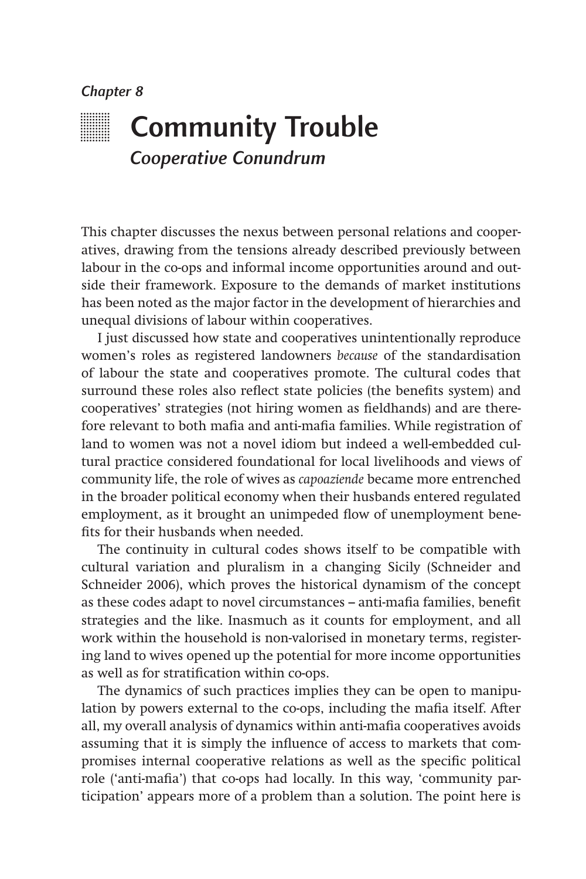#### *Chapter 8*

# **Community Trouble** *Cooperative Conundrum*

This chapter discusses the nexus between personal relations and cooperatives, drawing from the tensions already described previously between labour in the co-ops and informal income opportunities around and outside their framework. Exposure to the demands of market institutions has been noted as the major factor in the development of hierarchies and unequal divisions of labour within cooperatives.

I just discussed how state and cooperatives unintentionally reproduce women's roles as registered landowners *because* of the standardisation of labour the state and cooperatives promote. The cultural codes that surround these roles also reflect state policies (the benefits system) and cooperatives' strategies (not hiring women as fieldhands) and are therefore relevant to both mafia and anti-mafia families. While registration of land to women was not a novel idiom but indeed a well-embedded cultural practice considered foundational for local livelihoods and views of community life, the role of wives as *capoaziende* became more entrenched in the broader political economy when their husbands entered regulated employment, as it brought an unimpeded flow of unemployment benefits for their husbands when needed.

The continuity in cultural codes shows itself to be compatible with cultural variation and pluralism in a changing Sicily (Schneider and Schneider 2006), which proves the historical dynamism of the concept as these codes adapt to novel circumstances – anti-mafia families, benefit strategies and the like. Inasmuch as it counts for employment, and all work within the household is non-valorised in monetary terms, registering land to wives opened up the potential for more income opportunities as well as for stratification within co-ops.

The dynamics of such practices implies they can be open to manipulation by powers external to the co-ops, including the mafia itself. After all, my overall analysis of dynamics within anti-mafia cooperatives avoids assuming that it is simply the influence of access to markets that compromises internal cooperative relations as well as the specific political role ('anti-mafia') that co-ops had locally. In this way, 'community participation' appears more of a problem than a solution. The point here is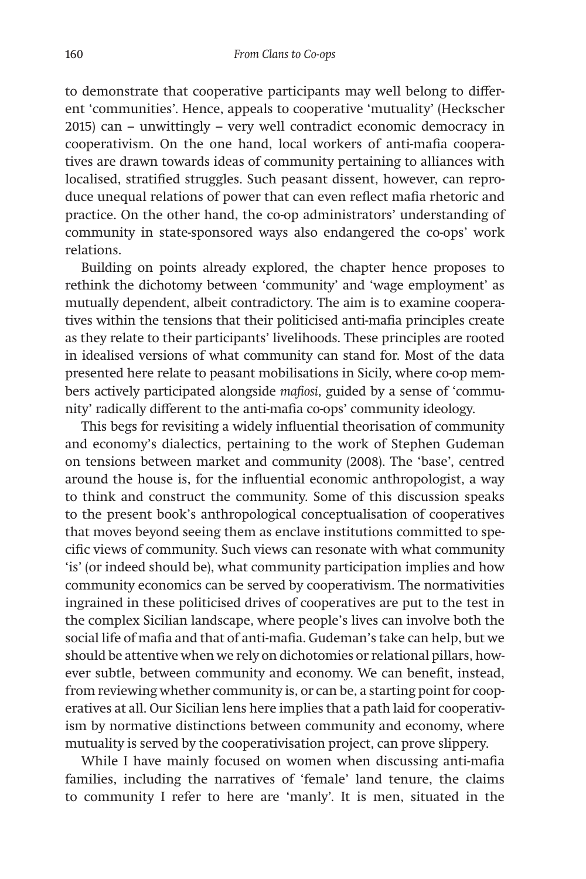to demonstrate that cooperative participants may well belong to different 'communities'. Hence, appeals to cooperative 'mutuality' (Heckscher 2015) can – unwittingly – very well contradict economic democracy in cooperativism. On the one hand, local workers of anti-mafia cooperatives are drawn towards ideas of community pertaining to alliances with localised, stratified struggles. Such peasant dissent, however, can reproduce unequal relations of power that can even reflect mafia rhetoric and practice. On the other hand, the co-op administrators' understanding of community in state-sponsored ways also endangered the co-ops' work relations.

Building on points already explored, the chapter hence proposes to rethink the dichotomy between 'community' and 'wage employment' as mutually dependent, albeit contradictory. The aim is to examine cooperatives within the tensions that their politicised anti-mafia principles create as they relate to their participants' livelihoods. These principles are rooted in idealised versions of what community can stand for. Most of the data presented here relate to peasant mobilisations in Sicily, where co-op members actively participated alongside *mafiosi*, guided by a sense of 'community' radically different to the anti-mafia co-ops' community ideology.

This begs for revisiting a widely influential theorisation of community and economy's dialectics, pertaining to the work of Stephen Gudeman on tensions between market and community (2008). The 'base', centred around the house is, for the influential economic anthropologist, a way to think and construct the community. Some of this discussion speaks to the present book's anthropological conceptualisation of cooperatives that moves beyond seeing them as enclave institutions committed to specific views of community. Such views can resonate with what community 'is' (or indeed should be), what community participation implies and how community economics can be served by cooperativism. The normativities ingrained in these politicised drives of cooperatives are put to the test in the complex Sicilian landscape, where people's lives can involve both the social life of mafia and that of anti-mafia. Gudeman's take can help, but we should be attentive when we rely on dichotomies or relational pillars, however subtle, between community and economy. We can benefit, instead, from reviewing whether community is, or can be, a starting point for cooperatives at all. Our Sicilian lens here implies that a path laid for cooperativism by normative distinctions between community and economy, where mutuality is served by the cooperativisation project, can prove slippery.

While I have mainly focused on women when discussing anti-mafia families, including the narratives of 'female' land tenure, the claims to community I refer to here are 'manly'. It is men, situated in the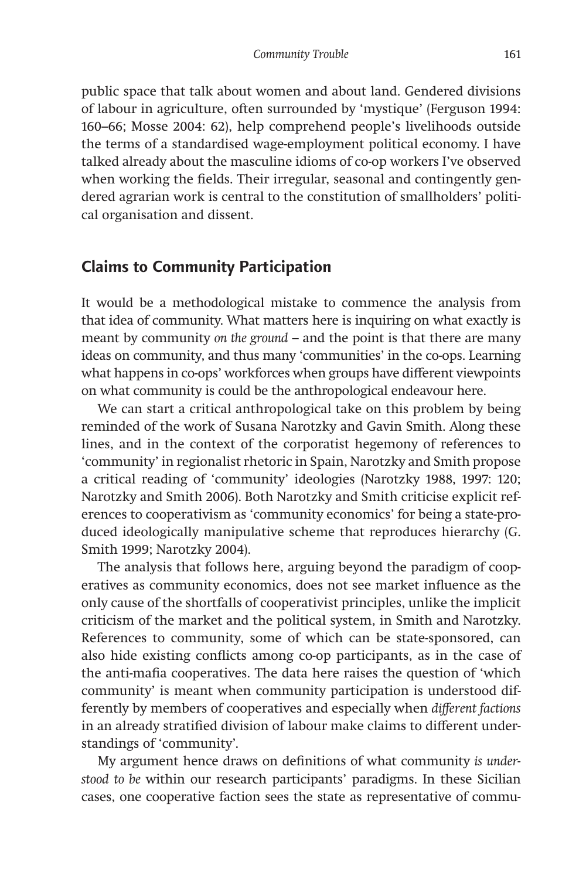public space that talk about women and about land. Gendered divisions of labour in agriculture, often surrounded by 'mystique' (Ferguson 1994: 160–66; Mosse 2004: 62), help comprehend people's livelihoods outside the terms of a standardised wage-employment political economy. I have talked already about the masculine idioms of co-op workers I've observed when working the fields. Their irregular, seasonal and contingently gendered agrarian work is central to the constitution of smallholders' political organisation and dissent.

## **Claims to Community Participation**

It would be a methodological mistake to commence the analysis from that idea of community. What matters here is inquiring on what exactly is meant by community *on the ground* – and the point is that there are many ideas on community, and thus many 'communities' in the co-ops. Learning what happens in co-ops' workforces when groups have different viewpoints on what community is could be the anthropological endeavour here.

We can start a critical anthropological take on this problem by being reminded of the work of Susana Narotzky and Gavin Smith. Along these lines, and in the context of the corporatist hegemony of references to 'community' in regionalist rhetoric in Spain, Narotzky and Smith propose a critical reading of 'community' ideologies (Narotzky 1988, 1997: 120; Narotzky and Smith 2006). Both Narotzky and Smith criticise explicit references to cooperativism as 'community economics' for being a state-produced ideologically manipulative scheme that reproduces hierarchy (G. Smith 1999; Narotzky 2004).

The analysis that follows here, arguing beyond the paradigm of cooperatives as community economics, does not see market influence as the only cause of the shortfalls of cooperativist principles, unlike the implicit criticism of the market and the political system, in Smith and Narotzky. References to community, some of which can be state-sponsored, can also hide existing conflicts among co-op participants, as in the case of the anti-mafia cooperatives. The data here raises the question of 'which community' is meant when community participation is understood differently by members of cooperatives and especially when *different factions* in an already stratified division of labour make claims to different understandings of 'community'.

My argument hence draws on definitions of what community *is understood to be* within our research participants' paradigms. In these Sicilian cases, one cooperative faction sees the state as representative of commu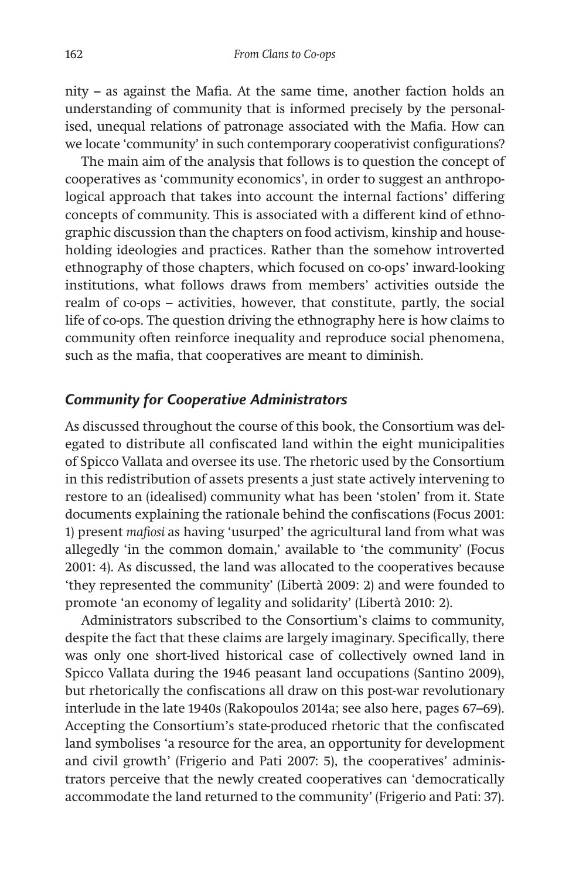nity – as against the Mafia. At the same time, another faction holds an understanding of community that is informed precisely by the personalised, unequal relations of patronage associated with the Mafia. How can we locate 'community' in such contemporary cooperativist configurations?

The main aim of the analysis that follows is to question the concept of cooperatives as 'community economics', in order to suggest an anthropological approach that takes into account the internal factions' differing concepts of community. This is associated with a different kind of ethnographic discussion than the chapters on food activism, kinship and householding ideologies and practices. Rather than the somehow introverted ethnography of those chapters, which focused on co-ops' inward-looking institutions, what follows draws from members' activities outside the realm of co-ops – activities, however, that constitute, partly, the social life of co-ops. The question driving the ethnography here is how claims to community often reinforce inequality and reproduce social phenomena, such as the mafia, that cooperatives are meant to diminish.

#### *Community for Cooperative Administrators*

As discussed throughout the course of this book, the Consortium was delegated to distribute all confiscated land within the eight municipalities of Spicco Vallata and oversee its use. The rhetoric used by the Consortium in this redistribution of assets presents a just state actively intervening to restore to an (idealised) community what has been 'stolen' from it. State documents explaining the rationale behind the confiscations (Focus 2001: 1) present *mafiosi* as having 'usurped' the agricultural land from what was allegedly 'in the common domain,' available to 'the community' (Focus 2001: 4). As discussed, the land was allocated to the cooperatives because 'they represented the community' (Libertà 2009: 2) and were founded to promote 'an economy of legality and solidarity' (Libertà 2010: 2).

Administrators subscribed to the Consortium's claims to community, despite the fact that these claims are largely imaginary. Specifically, there was only one short-lived historical case of collectively owned land in Spicco Vallata during the 1946 peasant land occupations (Santino 2009), but rhetorically the confiscations all draw on this post-war revolutionary interlude in the late 1940s (Rakopoulos 2014a; see also here, pages 67–69). Accepting the Consortium's state-produced rhetoric that the confiscated land symbolises 'a resource for the area, an opportunity for development and civil growth' (Frigerio and Pati 2007: 5), the cooperatives' administrators perceive that the newly created cooperatives can 'democratically accommodate the land returned to the community' (Frigerio and Pati: 37).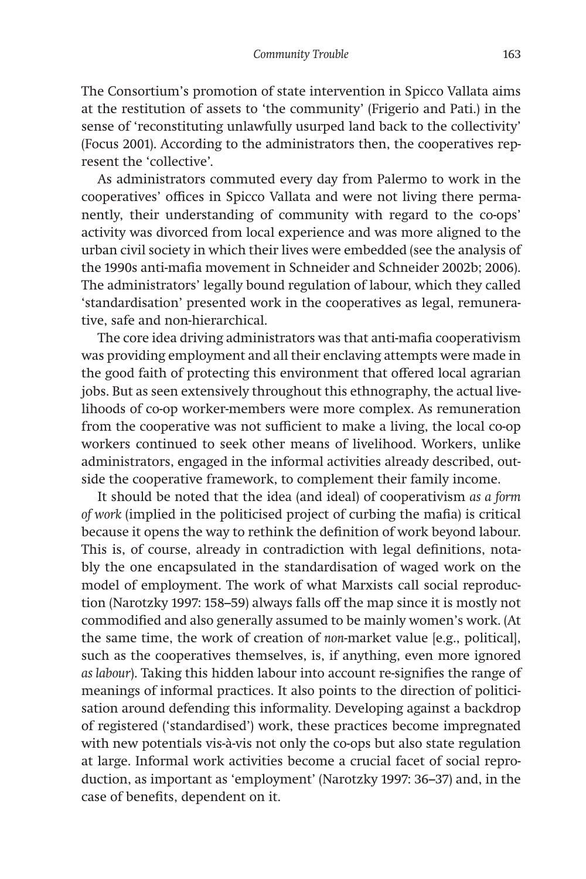The Consortium's promotion of state intervention in Spicco Vallata aims at the restitution of assets to 'the community' (Frigerio and Pati.) in the sense of 'reconstituting unlawfully usurped land back to the collectivity' (Focus 2001). According to the administrators then, the cooperatives represent the 'collective'.

As administrators commuted every day from Palermo to work in the cooperatives' offices in Spicco Vallata and were not living there permanently, their understanding of community with regard to the co-ops' activity was divorced from local experience and was more aligned to the urban civil society in which their lives were embedded (see the analysis of the 1990s anti-mafia movement in Schneider and Schneider 2002b; 2006). The administrators' legally bound regulation of labour, which they called 'standardisation' presented work in the cooperatives as legal, remunerative, safe and non-hierarchical.

The core idea driving administrators was that anti-mafia cooperativism was providing employment and all their enclaving attempts were made in the good faith of protecting this environment that offered local agrarian jobs. But as seen extensively throughout this ethnography, the actual livelihoods of co-op worker-members were more complex. As remuneration from the cooperative was not sufficient to make a living, the local co-op workers continued to seek other means of livelihood. Workers, unlike administrators, engaged in the informal activities already described, outside the cooperative framework, to complement their family income.

It should be noted that the idea (and ideal) of cooperativism *as a form of work* (implied in the politicised project of curbing the mafia) is critical because it opens the way to rethink the definition of work beyond labour. This is, of course, already in contradiction with legal definitions, notably the one encapsulated in the standardisation of waged work on the model of employment. The work of what Marxists call social reproduction (Narotzky 1997: 158–59) always falls off the map since it is mostly not commodified and also generally assumed to be mainly women's work. (At the same time, the work of creation of *non*-market value [e.g., political], such as the cooperatives themselves, is, if anything, even more ignored *as labour*). Taking this hidden labour into account re-signifies the range of meanings of informal practices. It also points to the direction of politicisation around defending this informality. Developing against a backdrop of registered ('standardised') work, these practices become impregnated with new potentials vis-à-vis not only the co-ops but also state regulation at large. Informal work activities become a crucial facet of social reproduction, as important as 'employment' (Narotzky 1997: 36–37) and, in the case of benefits, dependent on it.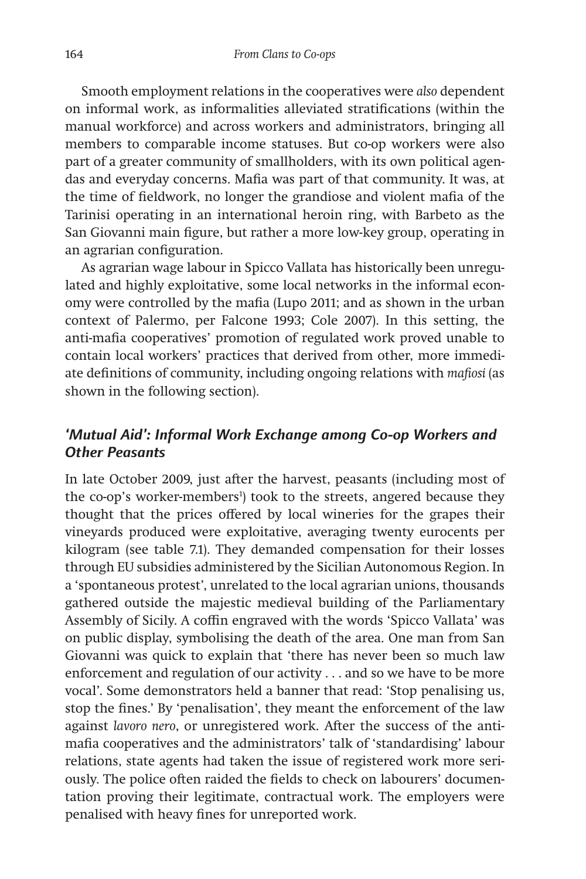Smooth employment relations in the cooperatives were *also* dependent on informal work, as informalities alleviated stratifications (within the manual workforce) and across workers and administrators, bringing all members to comparable income statuses. But co-op workers were also part of a greater community of smallholders, with its own political agendas and everyday concerns. Mafia was part of that community. It was, at the time of fieldwork, no longer the grandiose and violent mafia of the Tarinisi operating in an international heroin ring, with Barbeto as the San Giovanni main figure, but rather a more low-key group, operating in an agrarian configuration.

As agrarian wage labour in Spicco Vallata has historically been unregulated and highly exploitative, some local networks in the informal economy were controlled by the mafia (Lupo 2011; and as shown in the urban context of Palermo, per Falcone 1993; Cole 2007). In this setting, the anti-mafia cooperatives' promotion of regulated work proved unable to contain local workers' practices that derived from other, more immediate definitions of community, including ongoing relations with *mafiosi* (as shown in the following section).

#### *'Mutual Aid': Informal Work Exchange among Co-op Workers and Other Peasants*

In late October 2009, just after the harvest, peasants (including most of the co-op's worker-members<sup>1</sup>) took to the streets, angered because they thought that the prices offered by local wineries for the grapes their vineyards produced were exploitative, averaging twenty eurocents per kilogram (see table 7.1). They demanded compensation for their losses through EU subsidies administered by the Sicilian Autonomous Region. In a 'spontaneous protest', unrelated to the local agrarian unions, thousands gathered outside the majestic medieval building of the Parliamentary Assembly of Sicily. A coffin engraved with the words 'Spicco Vallata' was on public display, symbolising the death of the area. One man from San Giovanni was quick to explain that 'there has never been so much law enforcement and regulation of our activity . . . and so we have to be more vocal'. Some demonstrators held a banner that read: 'Stop penalising us, stop the fines.' By 'penalisation', they meant the enforcement of the law against *lavoro nero*, or unregistered work. After the success of the antimafia cooperatives and the administrators' talk of 'standardising' labour relations, state agents had taken the issue of registered work more seriously. The police often raided the fields to check on labourers' documentation proving their legitimate, contractual work. The employers were penalised with heavy fines for unreported work.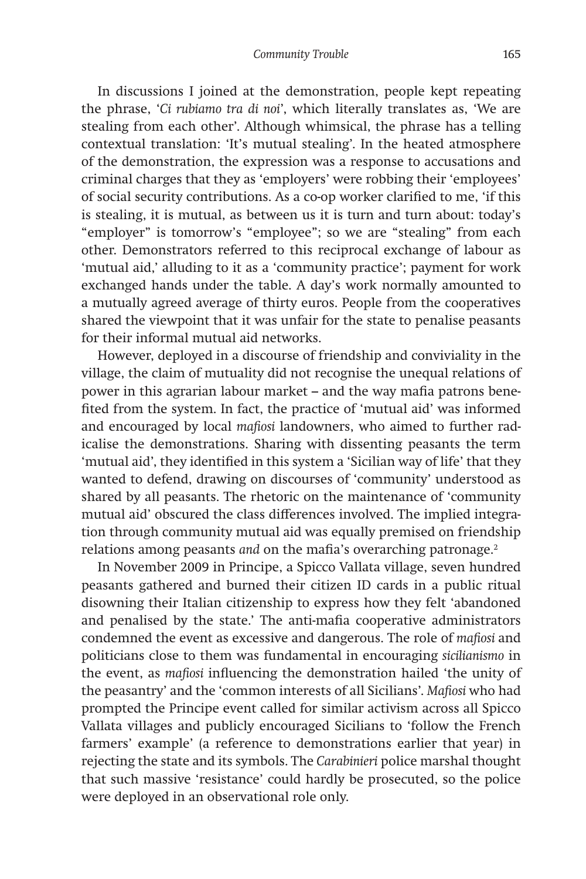In discussions I joined at the demonstration, people kept repeating the phrase, '*Ci rubiamo tra di noi*', which literally translates as, 'We are stealing from each other'. Although whimsical, the phrase has a telling contextual translation: 'It's mutual stealing'. In the heated atmosphere of the demonstration, the expression was a response to accusations and criminal charges that they as 'employers' were robbing their 'employees' of social security contributions. As a co-op worker clarified to me, 'if this is stealing, it is mutual, as between us it is turn and turn about: today's "employer" is tomorrow's "employee"; so we are "stealing" from each other. Demonstrators referred to this reciprocal exchange of labour as 'mutual aid,' alluding to it as a 'community practice'; payment for work exchanged hands under the table. A day's work normally amounted to a mutually agreed average of thirty euros. People from the cooperatives shared the viewpoint that it was unfair for the state to penalise peasants for their informal mutual aid networks.

However, deployed in a discourse of friendship and conviviality in the village, the claim of mutuality did not recognise the unequal relations of power in this agrarian labour market – and the way mafia patrons benefited from the system. In fact, the practice of 'mutual aid' was informed and encouraged by local *mafiosi* landowners, who aimed to further radicalise the demonstrations. Sharing with dissenting peasants the term 'mutual aid', they identified in this system a 'Sicilian way of life' that they wanted to defend, drawing on discourses of 'community' understood as shared by all peasants. The rhetoric on the maintenance of 'community mutual aid' obscured the class differences involved. The implied integration through community mutual aid was equally premised on friendship relations among peasants *and* on the mafia's overarching patronage.<sup>2</sup>

In November 2009 in Principe, a Spicco Vallata village, seven hundred peasants gathered and burned their citizen ID cards in a public ritual disowning their Italian citizenship to express how they felt 'abandoned and penalised by the state.' The anti-mafia cooperative administrators condemned the event as excessive and dangerous. The role of *mafiosi* and politicians close to them was fundamental in encouraging *sicilianismo* in the event, as *mafiosi* influencing the demonstration hailed 'the unity of the peasantry' and the 'common interests of all Sicilians'. *Mafiosi* who had prompted the Principe event called for similar activism across all Spicco Vallata villages and publicly encouraged Sicilians to 'follow the French farmers' example' (a reference to demonstrations earlier that year) in rejecting the state and its symbols. The *Carabinieri* police marshal thought that such massive 'resistance' could hardly be prosecuted, so the police were deployed in an observational role only.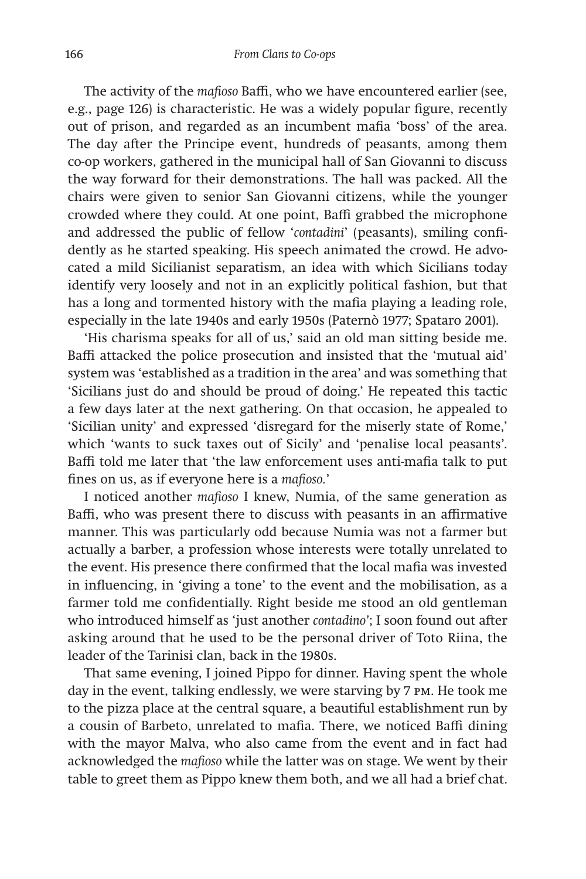The activity of the *mafioso* Baffi, who we have encountered earlier (see, e.g., page 126) is characteristic. He was a widely popular figure, recently out of prison, and regarded as an incumbent mafia 'boss' of the area. The day after the Principe event, hundreds of peasants, among them co-op workers, gathered in the municipal hall of San Giovanni to discuss the way forward for their demonstrations. The hall was packed. All the chairs were given to senior San Giovanni citizens, while the younger crowded where they could. At one point, Baffi grabbed the microphone and addressed the public of fellow '*contadini*' (peasants), smiling confidently as he started speaking. His speech animated the crowd. He advocated a mild Sicilianist separatism, an idea with which Sicilians today identify very loosely and not in an explicitly political fashion, but that has a long and tormented history with the mafia playing a leading role, especially in the late 1940s and early 1950s (Paternò 1977; Spataro 2001).

'His charisma speaks for all of us,' said an old man sitting beside me. Baffi attacked the police prosecution and insisted that the 'mutual aid' system was 'established as a tradition in the area' and was something that 'Sicilians just do and should be proud of doing.' He repeated this tactic a few days later at the next gathering. On that occasion, he appealed to 'Sicilian unity' and expressed 'disregard for the miserly state of Rome,' which 'wants to suck taxes out of Sicily' and 'penalise local peasants'. Baffi told me later that 'the law enforcement uses anti-mafia talk to put fines on us, as if everyone here is a *mafioso.*'

I noticed another *mafioso* I knew, Numia, of the same generation as Baffi, who was present there to discuss with peasants in an affirmative manner. This was particularly odd because Numia was not a farmer but actually a barber, a profession whose interests were totally unrelated to the event. His presence there confirmed that the local mafia was invested in influencing, in 'giving a tone' to the event and the mobilisation, as a farmer told me confidentially. Right beside me stood an old gentleman who introduced himself as 'just another *contadino'*; I soon found out after asking around that he used to be the personal driver of Toto Riina, the leader of the Tarinisi clan, back in the 1980s.

That same evening, I joined Pippo for dinner. Having spent the whole day in the event, talking endlessly, we were starving by 7 pm. He took me to the pizza place at the central square, a beautiful establishment run by a cousin of Barbeto, unrelated to mafia. There, we noticed Baffi dining with the mayor Malva, who also came from the event and in fact had acknowledged the *mafioso* while the latter was on stage. We went by their table to greet them as Pippo knew them both, and we all had a brief chat.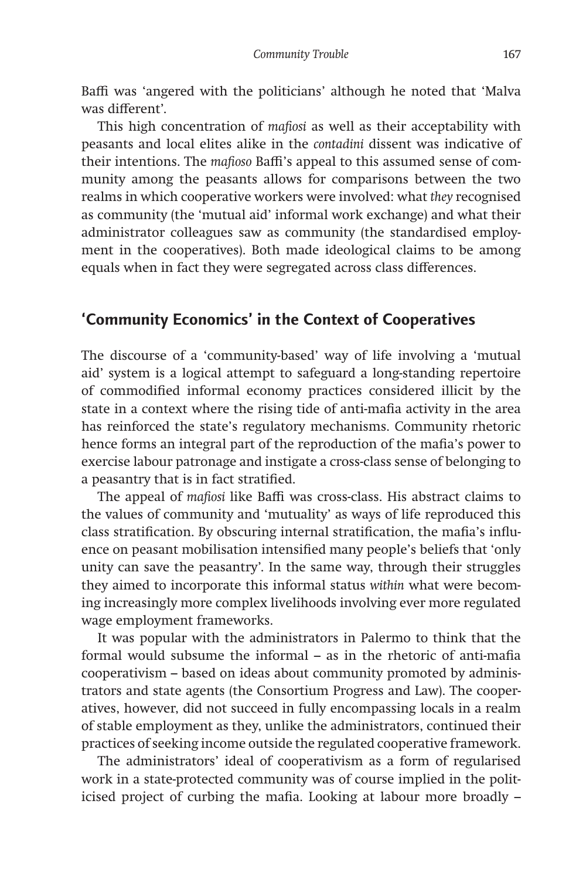Baffi was 'angered with the politicians' although he noted that 'Malva was different'.

This high concentration of *mafiosi* as well as their acceptability with peasants and local elites alike in the *contadini* dissent was indicative of their intentions. The *mafioso* Baffi's appeal to this assumed sense of community among the peasants allows for comparisons between the two realms in which cooperative workers were involved: what *they* recognised as community (the 'mutual aid' informal work exchange) and what their administrator colleagues saw as community (the standardised employment in the cooperatives). Both made ideological claims to be among equals when in fact they were segregated across class differences.

### **'Community Economics' in the Context of Cooperatives**

The discourse of a 'community-based' way of life involving a 'mutual aid' system is a logical attempt to safeguard a long-standing repertoire of commodified informal economy practices considered illicit by the state in a context where the rising tide of anti-mafia activity in the area has reinforced the state's regulatory mechanisms. Community rhetoric hence forms an integral part of the reproduction of the mafia's power to exercise labour patronage and instigate a cross-class sense of belonging to a peasantry that is in fact stratified.

The appeal of *mafiosi* like Baffi was cross-class. His abstract claims to the values of community and 'mutuality' as ways of life reproduced this class stratification. By obscuring internal stratification, the mafia's influence on peasant mobilisation intensified many people's beliefs that 'only unity can save the peasantry'. In the same way, through their struggles they aimed to incorporate this informal status *within* what were becoming increasingly more complex livelihoods involving ever more regulated wage employment frameworks.

It was popular with the administrators in Palermo to think that the formal would subsume the informal – as in the rhetoric of anti-mafia cooperativism – based on ideas about community promoted by administrators and state agents (the Consortium Progress and Law). The cooperatives, however, did not succeed in fully encompassing locals in a realm of stable employment as they, unlike the administrators, continued their practices of seeking income outside the regulated cooperative framework.

The administrators' ideal of cooperativism as a form of regularised work in a state-protected community was of course implied in the politicised project of curbing the mafia. Looking at labour more broadly –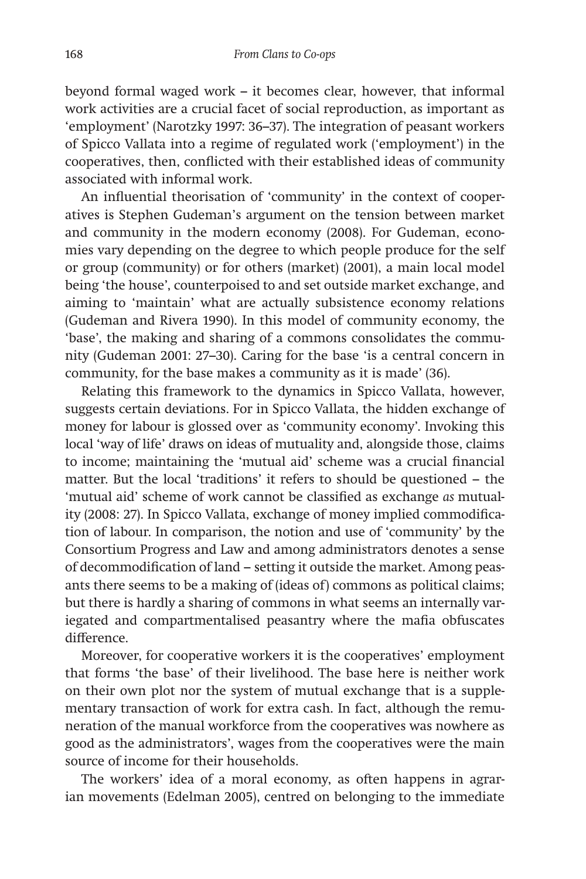beyond formal waged work – it becomes clear, however, that informal work activities are a crucial facet of social reproduction, as important as 'employment' (Narotzky 1997: 36–37). The integration of peasant workers of Spicco Vallata into a regime of regulated work ('employment') in the cooperatives, then, conflicted with their established ideas of community associated with informal work.

An influential theorisation of 'community' in the context of cooperatives is Stephen Gudeman's argument on the tension between market and community in the modern economy (2008). For Gudeman, economies vary depending on the degree to which people produce for the self or group (community) or for others (market) (2001), a main local model being 'the house', counterpoised to and set outside market exchange, and aiming to 'maintain' what are actually subsistence economy relations (Gudeman and Rivera 1990). In this model of community economy, the 'base', the making and sharing of a commons consolidates the community (Gudeman 2001: 27–30). Caring for the base 'is a central concern in community, for the base makes a community as it is made' (36).

Relating this framework to the dynamics in Spicco Vallata, however, suggests certain deviations. For in Spicco Vallata, the hidden exchange of money for labour is glossed over as 'community economy'. Invoking this local 'way of life' draws on ideas of mutuality and, alongside those, claims to income; maintaining the 'mutual aid' scheme was a crucial financial matter. But the local 'traditions' it refers to should be questioned – the 'mutual aid' scheme of work cannot be classified as exchange *as* mutuality (2008: 27). In Spicco Vallata, exchange of money implied commodification of labour. In comparison, the notion and use of 'community' by the Consortium Progress and Law and among administrators denotes a sense of decommodification of land – setting it outside the market. Among peasants there seems to be a making of (ideas of) commons as political claims; but there is hardly a sharing of commons in what seems an internally variegated and compartmentalised peasantry where the mafia obfuscates difference.

Moreover, for cooperative workers it is the cooperatives' employment that forms 'the base' of their livelihood. The base here is neither work on their own plot nor the system of mutual exchange that is a supplementary transaction of work for extra cash. In fact, although the remuneration of the manual workforce from the cooperatives was nowhere as good as the administrators', wages from the cooperatives were the main source of income for their households.

The workers' idea of a moral economy, as often happens in agrarian movements (Edelman 2005), centred on belonging to the immediate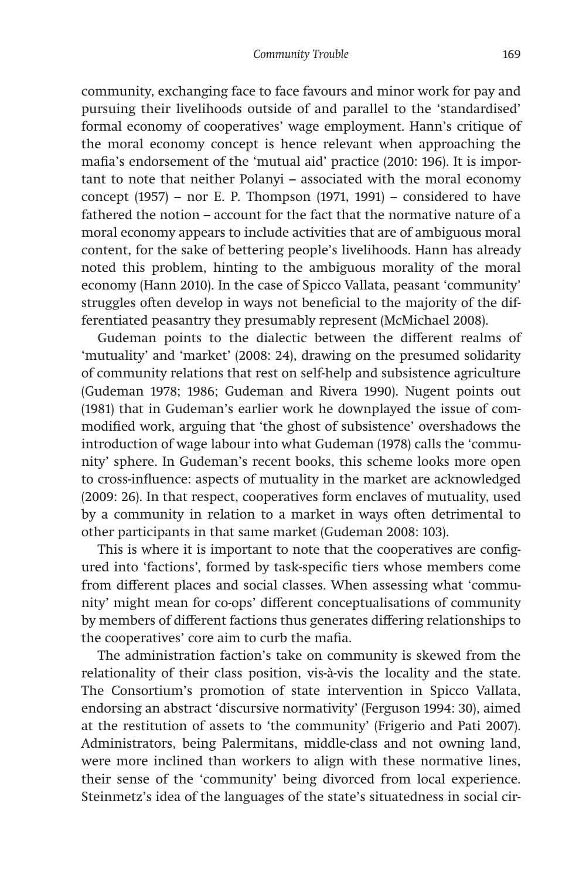community, exchanging face to face favours and minor work for pay and pursuing their livelihoods outside of and parallel to the 'standardised' formal economy of cooperatives' wage employment. Hann's critique of the moral economy concept is hence relevant when approaching the mafia's endorsement of the 'mutual aid' practice (2010: 196). It is important to note that neither Polanyi – associated with the moral economy concept (1957) – nor E. P. Thompson (1971, 1991) – considered to have fathered the notion – account for the fact that the normative nature of a moral economy appears to include activities that are of ambiguous moral content, for the sake of bettering people's livelihoods. Hann has already noted this problem, hinting to the ambiguous morality of the moral economy (Hann 2010). In the case of Spicco Vallata, peasant 'community' struggles often develop in ways not beneficial to the majority of the differentiated peasantry they presumably represent (McMichael 2008).

Gudeman points to the dialectic between the different realms of 'mutuality' and 'market' (2008: 24), drawing on the presumed solidarity of community relations that rest on self-help and subsistence agriculture (Gudeman 1978; 1986; Gudeman and Rivera 1990). Nugent points out (1981) that in Gudeman's earlier work he downplayed the issue of commodified work, arguing that 'the ghost of subsistence' overshadows the introduction of wage labour into what Gudeman (1978) calls the 'community' sphere. In Gudeman's recent books, this scheme looks more open to cross-influence: aspects of mutuality in the market are acknowledged (2009: 26). In that respect, cooperatives form enclaves of mutuality, used by a community in relation to a market in ways often detrimental to other participants in that same market (Gudeman 2008: 103).

This is where it is important to note that the cooperatives are configured into 'factions', formed by task-specific tiers whose members come from different places and social classes. When assessing what 'community' might mean for co-ops' different conceptualisations of community by members of different factions thus generates differing relationships to the cooperatives' core aim to curb the mafia.

The administration faction's take on community is skewed from the relationality of their class position, vis-à-vis the locality and the state. The Consortium's promotion of state intervention in Spicco Vallata, endorsing an abstract 'discursive normativity' (Ferguson 1994: 30), aimed at the restitution of assets to 'the community' (Frigerio and Pati 2007). Administrators, being Palermitans, middle-class and not owning land, were more inclined than workers to align with these normative lines, their sense of the 'community' being divorced from local experience. Steinmetz's idea of the languages of the state's situatedness in social cir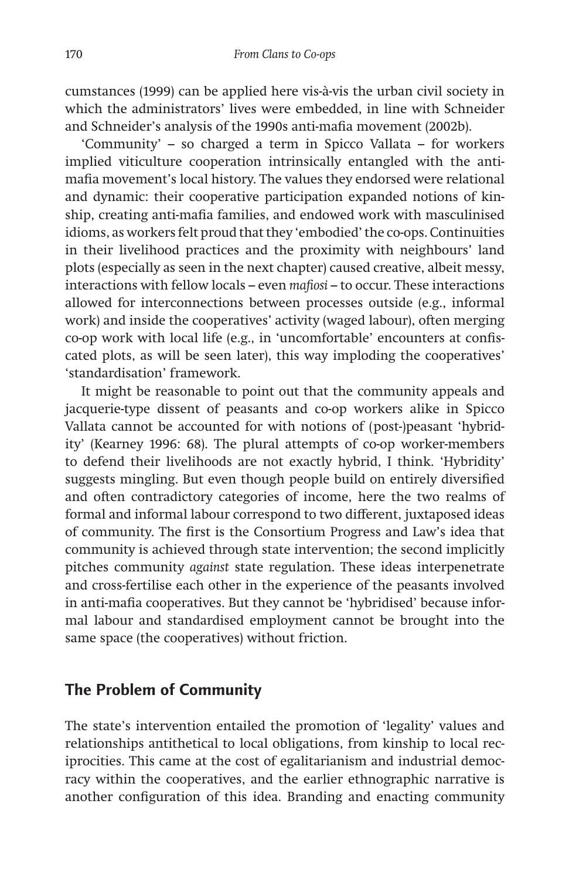cumstances (1999) can be applied here vis-à-vis the urban civil society in which the administrators' lives were embedded, in line with Schneider and Schneider's analysis of the 1990s anti-mafia movement (2002b).

'Community' – so charged a term in Spicco Vallata – for workers implied viticulture cooperation intrinsically entangled with the antimafia movement's local history. The values they endorsed were relational and dynamic: their cooperative participation expanded notions of kinship, creating anti-mafia families, and endowed work with masculinised idioms, as workers felt proud that they 'embodied' the co-ops. Continuities in their livelihood practices and the proximity with neighbours' land plots (especially as seen in the next chapter) caused creative, albeit messy, interactions with fellow locals – even *mafiosi* – to occur. These interactions allowed for interconnections between processes outside (e.g., informal work) and inside the cooperatives' activity (waged labour), often merging co-op work with local life (e.g., in 'uncomfortable' encounters at confiscated plots, as will be seen later), this way imploding the cooperatives' 'standardisation' framework.

It might be reasonable to point out that the community appeals and jacquerie-type dissent of peasants and co-op workers alike in Spicco Vallata cannot be accounted for with notions of (post-)peasant 'hybridity' (Kearney 1996: 68). The plural attempts of co-op worker-members to defend their livelihoods are not exactly hybrid, I think. 'Hybridity' suggests mingling. But even though people build on entirely diversified and often contradictory categories of income, here the two realms of formal and informal labour correspond to two different, juxtaposed ideas of community. The first is the Consortium Progress and Law's idea that community is achieved through state intervention; the second implicitly pitches community *against* state regulation. These ideas interpenetrate and cross-fertilise each other in the experience of the peasants involved in anti-mafia cooperatives. But they cannot be 'hybridised' because informal labour and standardised employment cannot be brought into the same space (the cooperatives) without friction.

#### **The Problem of Community**

The state's intervention entailed the promotion of 'legality' values and relationships antithetical to local obligations, from kinship to local reciprocities. This came at the cost of egalitarianism and industrial democracy within the cooperatives, and the earlier ethnographic narrative is another configuration of this idea. Branding and enacting community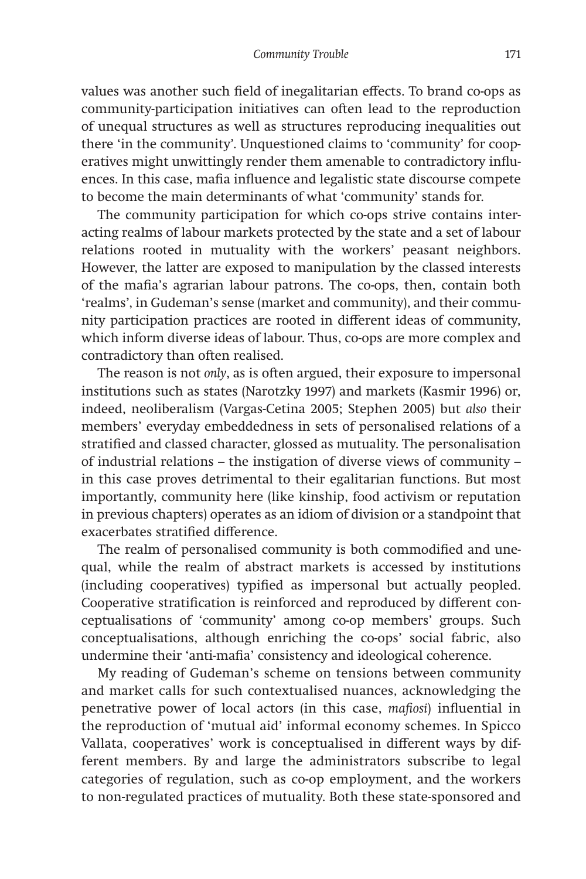values was another such field of inegalitarian effects. To brand co-ops as community-participation initiatives can often lead to the reproduction of unequal structures as well as structures reproducing inequalities out there 'in the community'. Unquestioned claims to 'community' for cooperatives might unwittingly render them amenable to contradictory influences. In this case, mafia influence and legalistic state discourse compete to become the main determinants of what 'community' stands for.

The community participation for which co-ops strive contains interacting realms of labour markets protected by the state and a set of labour relations rooted in mutuality with the workers' peasant neighbors. However, the latter are exposed to manipulation by the classed interests of the mafia's agrarian labour patrons. The co-ops, then, contain both 'realms', in Gudeman's sense (market and community), and their community participation practices are rooted in different ideas of community, which inform diverse ideas of labour. Thus, co-ops are more complex and contradictory than often realised.

The reason is not *only*, as is often argued, their exposure to impersonal institutions such as states (Narotzky 1997) and markets (Kasmir 1996) or, indeed, neoliberalism (Vargas-Cetina 2005; Stephen 2005) but *also* their members' everyday embeddedness in sets of personalised relations of a stratified and classed character, glossed as mutuality. The personalisation of industrial relations – the instigation of diverse views of community – in this case proves detrimental to their egalitarian functions. But most importantly, community here (like kinship, food activism or reputation in previous chapters) operates as an idiom of division or a standpoint that exacerbates stratified difference.

The realm of personalised community is both commodified and unequal, while the realm of abstract markets is accessed by institutions (including cooperatives) typified as impersonal but actually peopled. Cooperative stratification is reinforced and reproduced by different conceptualisations of 'community' among co-op members' groups. Such conceptualisations, although enriching the co-ops' social fabric, also undermine their 'anti-mafia' consistency and ideological coherence.

My reading of Gudeman's scheme on tensions between community and market calls for such contextualised nuances, acknowledging the penetrative power of local actors (in this case, *mafiosi*) influential in the reproduction of 'mutual aid' informal economy schemes. In Spicco Vallata, cooperatives' work is conceptualised in different ways by different members. By and large the administrators subscribe to legal categories of regulation, such as co-op employment, and the workers to non-regulated practices of mutuality. Both these state-sponsored and